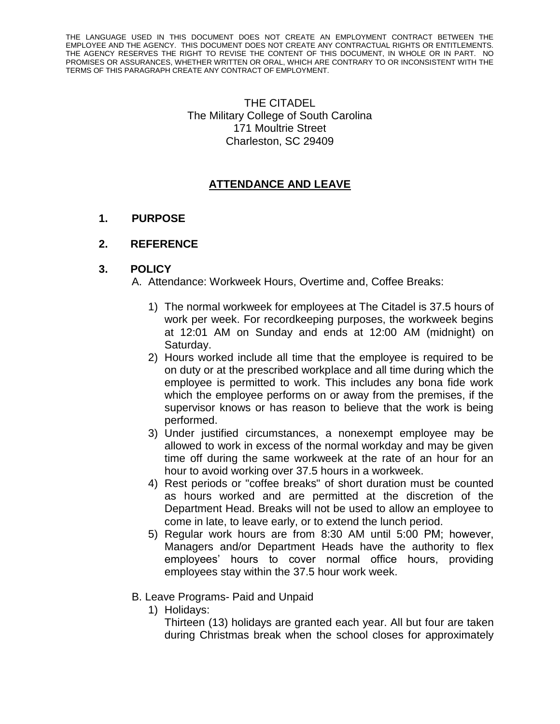THE LANGUAGE USED IN THIS DOCUMENT DOES NOT CREATE AN EMPLOYMENT CONTRACT BETWEEN THE EMPLOYEE AND THE AGENCY. THIS DOCUMENT DOES NOT CREATE ANY CONTRACTUAL RIGHTS OR ENTITLEMENTS. THE AGENCY RESERVES THE RIGHT TO REVISE THE CONTENT OF THIS DOCUMENT, IN WHOLE OR IN PART. NO PROMISES OR ASSURANCES, WHETHER WRITTEN OR ORAL, WHICH ARE CONTRARY TO OR INCONSISTENT WITH THE TERMS OF THIS PARAGRAPH CREATE ANY CONTRACT OF EMPLOYMENT.

> THE CITADEL The Military College of South Carolina 171 Moultrie Street Charleston, SC 29409

## **ATTENDANCE AND LEAVE**

## **1. PURPOSE**

## **2. REFERENCE**

## **3. POLICY**

A. Attendance: Workweek Hours, Overtime and, Coffee Breaks:

- 1) The normal workweek for employees at The Citadel is 37.5 hours of work per week. For recordkeeping purposes, the workweek begins at 12:01 AM on Sunday and ends at 12:00 AM (midnight) on Saturday.
- 2) Hours worked include all time that the employee is required to be on duty or at the prescribed workplace and all time during which the employee is permitted to work. This includes any bona fide work which the employee performs on or away from the premises, if the supervisor knows or has reason to believe that the work is being performed.
- 3) Under justified circumstances, a nonexempt employee may be allowed to work in excess of the normal workday and may be given time off during the same workweek at the rate of an hour for an hour to avoid working over 37.5 hours in a workweek.
- 4) Rest periods or "coffee breaks" of short duration must be counted as hours worked and are permitted at the discretion of the Department Head. Breaks will not be used to allow an employee to come in late, to leave early, or to extend the lunch period.
- 5) Regular work hours are from 8:30 AM until 5:00 PM; however, Managers and/or Department Heads have the authority to flex employees' hours to cover normal office hours, providing employees stay within the 37.5 hour work week.
- B. Leave Programs- Paid and Unpaid
	- 1) Holidays:

Thirteen (13) holidays are granted each year. All but four are taken during Christmas break when the school closes for approximately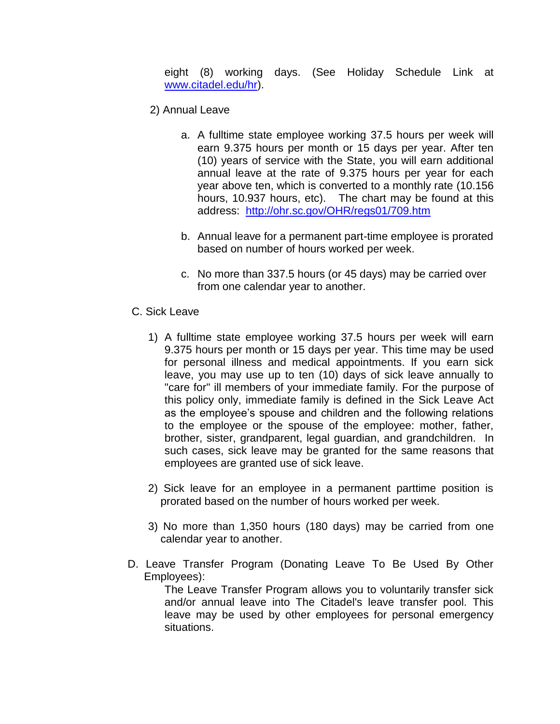eight (8) working days. (See Holiday Schedule Link at [www.citadel.edu/hr\)](http://www.citadel.edu/hr).

- 2) Annual Leave
	- a. A fulltime state employee working 37.5 hours per week will earn 9.375 hours per month or 15 days per year. After ten (10) years of service with the State, you will earn additional annual leave at the rate of 9.375 hours per year for each year above ten, which is converted to a monthly rate (10.156 hours, 10.937 hours, etc). The chart may be found at this address: <http://ohr.sc.gov/OHR/regs01/709.htm>
	- b. Annual leave for a permanent part-time employee is prorated based on number of hours worked per week.
	- c. No more than 337.5 hours (or 45 days) may be carried over from one calendar year to another.
- C. Sick Leave
	- 1) A fulltime state employee working 37.5 hours per week will earn 9.375 hours per month or 15 days per year. This time may be used for personal illness and medical appointments. If you earn sick leave, you may use up to ten (10) days of sick leave annually to "care for" ill members of your immediate family. For the purpose of this policy only, immediate family is defined in the Sick Leave Act as the employee's spouse and children and the following relations to the employee or the spouse of the employee: mother, father, brother, sister, grandparent, legal guardian, and grandchildren. In such cases, sick leave may be granted for the same reasons that employees are granted use of sick leave.
	- 2) Sick leave for an employee in a permanent parttime position is prorated based on the number of hours worked per week.
	- 3) No more than 1,350 hours (180 days) may be carried from one calendar year to another.
- D. Leave Transfer Program (Donating Leave To Be Used By Other Employees):

The Leave Transfer Program allows you to voluntarily transfer sick and/or annual leave into The Citadel's leave transfer pool. This leave may be used by other employees for personal emergency situations.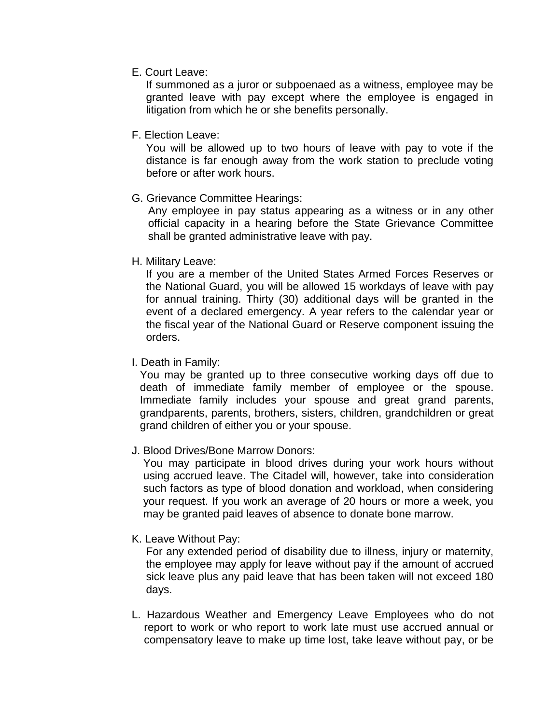E. Court Leave:

If summoned as a juror or subpoenaed as a witness, employee may be granted leave with pay except where the employee is engaged in litigation from which he or she benefits personally.

F. Election Leave:

You will be allowed up to two hours of leave with pay to vote if the distance is far enough away from the work station to preclude voting before or after work hours.

G. Grievance Committee Hearings:

Any employee in pay status appearing as a witness or in any other official capacity in a hearing before the State Grievance Committee shall be granted administrative leave with pay.

H. Military Leave:

If you are a member of the United States Armed Forces Reserves or the National Guard, you will be allowed 15 workdays of leave with pay for annual training. Thirty (30) additional days will be granted in the event of a declared emergency. A year refers to the calendar year or the fiscal year of the National Guard or Reserve component issuing the orders.

I. Death in Family:

You may be granted up to three consecutive working days off due to death of immediate family member of employee or the spouse. Immediate family includes your spouse and great grand parents, grandparents, parents, brothers, sisters, children, grandchildren or great grand children of either you or your spouse.

J. Blood Drives/Bone Marrow Donors:

You may participate in blood drives during your work hours without using accrued leave. The Citadel will, however, take into consideration such factors as type of blood donation and workload, when considering your request. If you work an average of 20 hours or more a week, you may be granted paid leaves of absence to donate bone marrow.

K. Leave Without Pay:

For any extended period of disability due to illness, injury or maternity, the employee may apply for leave without pay if the amount of accrued sick leave plus any paid leave that has been taken will not exceed 180 days.

L. Hazardous Weather and Emergency Leave Employees who do not report to work or who report to work late must use accrued annual or compensatory leave to make up time lost, take leave without pay, or be